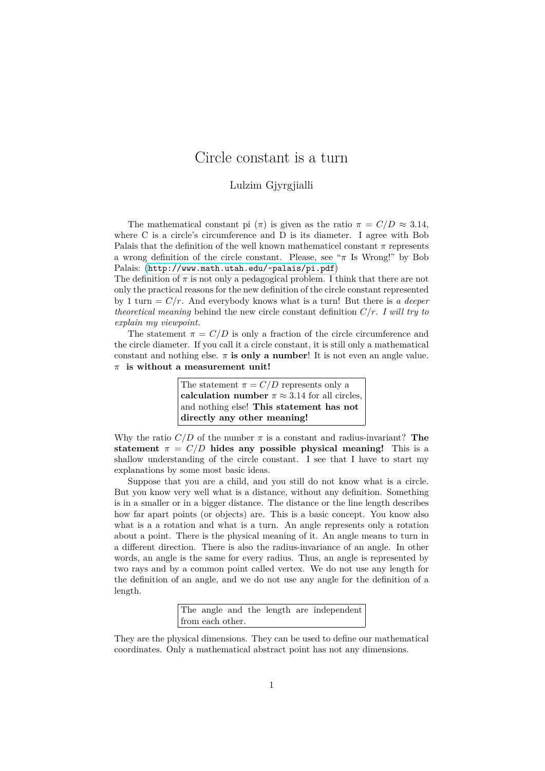## Circle constant is a turn

## Lulzim Gjyrgjialli

The mathematical constant pi  $(\pi)$  is given as the ratio  $\pi = C/D \approx 3.14$ , where C is a circle's circumference and D is its diameter. I agree with Bob Palais that the definition of the well known mathematicel constant  $\pi$  represents a wrong definition of the circle constant. Please, see "*π* Is Wrong!" by Bob Palais: (<http://www.math.utah.edu/~palais/pi.pdf>)

The definition of  $\pi$  is not only a pedagogical problem. I think that there are not only the practical reasons for the new definition of the circle constant represented by 1 turn = *C/r*. And everybody knows what is a turn! But there is *a deeper theoretical meaning* behind the new circle constant definition *C/r*. *I will try to explain my viewpoint.*

The statement  $\pi = C/D$  is only a fraction of the circle circumference and the circle diameter. If you call it a circle constant, it is still only a mathematical constant and nothing else.  $\pi$  **is only a number**! It is not even an angle value. *π* **is without a measurement unit!**

| The statement $\pi = C/D$ represents only a            |
|--------------------------------------------------------|
| calculation number $\pi \approx 3.14$ for all circles, |
| and nothing else! This statement has not               |
| directly any other meaning!                            |

Why the ratio  $C/D$  of the number  $\pi$  is a constant and radius-invariant? **The statement**  $\pi = C/D$  **hides any possible physical meaning!** This is a shallow understanding of the circle constant. I see that I have to start my explanations by some most basic ideas.

Suppose that you are a child, and you still do not know what is a circle. But you know very well what is a distance, without any definition. Something is in a smaller or in a bigger distance. The distance or the line length describes how far apart points (or objects) are. This is a basic concept. You know also what is a a rotation and what is a turn. An angle represents only a rotation about a point. There is the physical meaning of it. An angle means to turn in a different direction. There is also the radius-invariance of an angle. In other words, an angle is the same for every radius. Thus, an angle is represented by two rays and by a common point called vertex. We do not use any length for the definition of an angle, and we do not use any angle for the definition of a length.

> The angle and the length are independent from each other.

They are the physical dimensions. They can be used to define our mathematical coordinates. Only a mathematical abstract point has not any dimensions.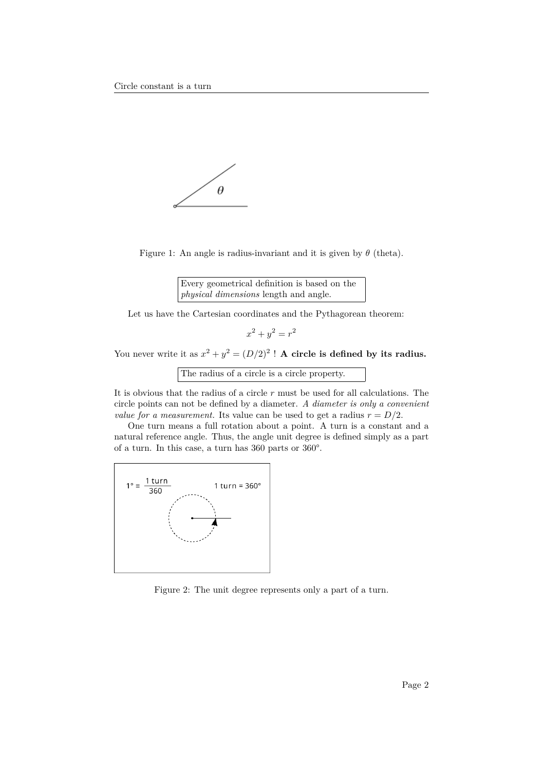

Figure 1: An angle is radius-invariant and it is given by *θ* (theta).

Every geometrical definition is based on the *physical dimensions* length and angle.

Let us have the Cartesian coordinates and the Pythagorean theorem:

 $x^2 + y^2 = r^2$ 

You never write it as  $x^2 + y^2 = (D/2)^2$ ! **A circle is defined by its radius.** 

The radius of a circle is a circle property.

It is obvious that the radius of a circle *r* must be used for all calculations. The circle points can not be defined by a diameter. *A diameter is only a convenient value for a measurement.* Its value can be used to get a radius  $r = D/2$ .

One turn means a full rotation about a point. A turn is a constant and a natural reference angle. Thus, the angle unit degree is defined simply as a part of a turn. In this case, a turn has 360 parts or 360°.



Figure 2: The unit degree represents only a part of a turn.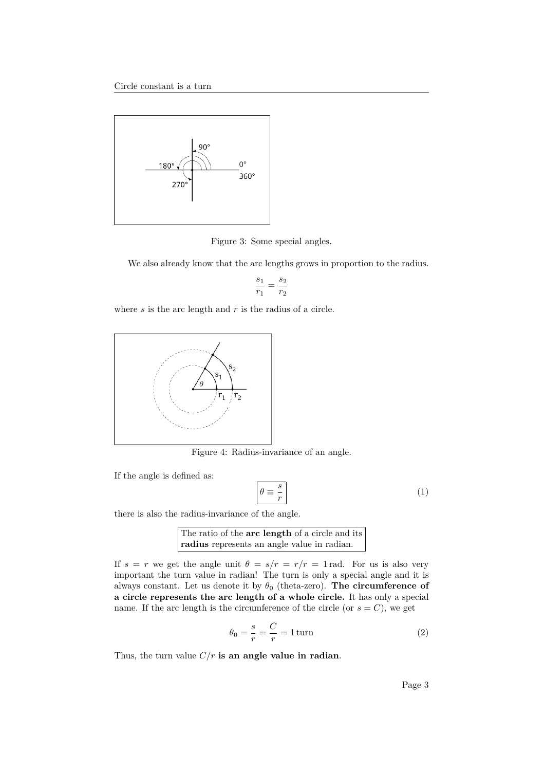

Figure 3: Some special angles.

We also already know that the arc lengths grows in proportion to the radius.

$$
\frac{s_1}{r_1}=\frac{s_2}{r_2}
$$

where *s* is the arc length and *r* is the radius of a circle.



Figure 4: Radius-invariance of an angle.

If the angle is defined as:

$$
\theta \equiv \frac{s}{r} \tag{1}
$$

there is also the radius-invariance of the angle.

The ratio of the **arc length** of a circle and its **radius** represents an angle value in radian.

If  $s = r$  we get the angle unit  $\theta = s/r = r/r = 1$  rad. For us is also very important the turn value in radian! The turn is only a special angle and it is always constant. Let us denote it by  $\theta_0$  (theta-zero). **The circumference of a circle represents the arc length of a whole circle.** It has only a special name. If the arc length is the circumference of the circle (or  $s = C$ ), we get

$$
\theta_0 = \frac{s}{r} = \frac{C}{r} = 1 \,\text{turn} \tag{2}
$$

Thus, the turn value *C/r* **is an angle value in radian**.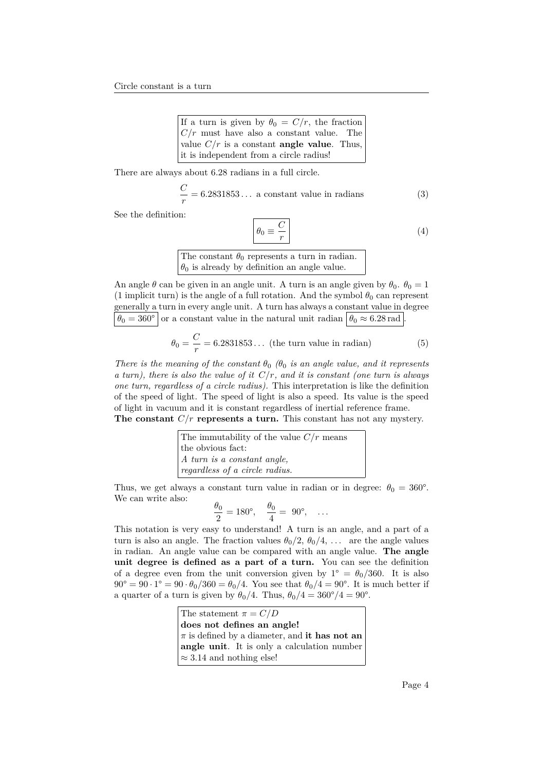| If a turn is given by $\theta_0 = C/r$ , the fraction |
|-------------------------------------------------------|
| $C/r$ must have also a constant value. The            |
| value $C/r$ is a constant <b>angle value</b> . Thus,  |
| it is independent from a circle radius!               |

There are always about 6.28 radians in a full circle.

$$
\frac{C}{r} = 6.2831853\ldots
$$
 a constant value in radians (3)

See the definition:

<span id="page-3-0"></span>
$$
\theta_0 \equiv \frac{C}{r} \tag{4}
$$

The constant  $\theta_0$  represents a turn in radian.  $\theta_0$  is already by definition an angle value.

An angle  $\theta$  can be given in an angle unit. A turn is an angle given by  $\theta_0$ .  $\theta_0 = 1$ (1 implicit turn) is the angle of a full rotation. And the symbol  $\theta_0$  can represent generally a turn in every angle unit. A turn has always a constant value in degree  $\theta_0 = 360^\circ$  or a constant value in the natural unit radian  $\theta_0 \approx 6.28$  rad

$$
\theta_0 = \frac{C}{r} = 6.2831853\ldots \text{ (the turn value in radian)}
$$
 (5)

*There is the meaning of the constant*  $\theta_0$   $(\theta_0)$  *is an angle value, and it represents a turn), there is also the value of it C/r, and it is constant (one turn is always one turn, regardless of a circle radius).* This interpretation is like the definition of the speed of light. The speed of light is also a speed. Its value is the speed of light in vacuum and it is constant regardless of inertial reference frame. **The constant** *C/r* **represents a turn.** This constant has not any mystery.

| The immutability of the value $C/r$ means |
|-------------------------------------------|
| the obvious fact:                         |
| $\vert A$ turn is a constant angle,       |
| regardless of a circle radius.            |

Thus, we get always a constant turn value in radian or in degree:  $\theta_0 = 360^{\circ}$ . We can write also:

$$
\frac{\theta_0}{2} = 180^\circ, \quad \frac{\theta_0}{4} = 90^\circ, \quad \dots
$$

This notation is very easy to understand! A turn is an angle, and a part of a turn is also an angle. The fraction values  $\theta_0/2$ ,  $\theta_0/4$ , ... are the angle values in radian. An angle value can be compared with an angle value. **The angle unit degree is defined as a part of a turn.** You can see the definition of a degree even from the unit conversion given by  $1^{\circ} = \theta_0/360$ . It is also  $90^{\circ} = 90 \cdot 1^{\circ} = 90 \cdot \theta_0 / 360 = \theta_0 / 4$ . You see that  $\theta_0 / 4 = 90^{\circ}$ . It is much better if a quarter of a turn is given by  $\theta_0/4$ . Thus,  $\theta_0/4 = 360^{\circ}/4 = 90^{\circ}$ .

> The statement  $\pi = C/D$ **does not defines an angle!** *π* is defined by a diameter, and **it has not an angle unit**. It is only a calculation number ≈ 3*.*14 and nothing else!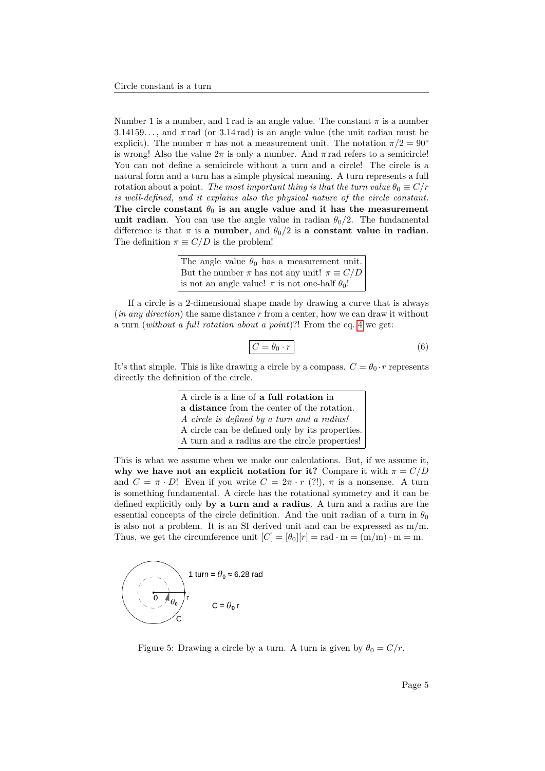Number 1 is a number, and 1 rad is an angle value. The constant  $\pi$  is a number  $3.14159...$ , and  $\pi$  rad (or 3.14 rad) is an angle value (the unit radian must be explicit). The number  $\pi$  has not a measurement unit. The notation  $\pi/2 = 90^{\circ}$ is wrong! Also the value  $2\pi$  is only a number. And  $\pi$  rad refers to a semicircle! You can not define a semicircle without a turn and a circle! The circle is a natural form and a turn has a simple physical meaning. A turn represents a full rotation about a point. *The most important thing is that the turn value*  $\theta_0 \equiv C/r$ *is well-defined, and it explains also the physical nature of the circle constant.* The circle constant  $\theta_0$  is an angle value and it has the measurement **unit radian**. You can use the angle value in radian  $\theta_0/2$ . The fundamental difference is that  $\pi$  is a number, and  $\theta_0/2$  is a constant value in radian. The definition  $\pi \equiv C/D$  is the problem!

> The angle value  $\theta_0$  has a measurement unit. But the number  $\pi$  has not any unit!  $\pi \equiv C/D$ is not an angle value!  $\pi$  is not one-half  $\theta_0$ !

If a circle is a 2-dimensional shape made by drawing a curve that is always (*in any direction*) the same distance *r* from a center, how we can draw it without a turn (*without a full rotation about a point*)?! From the eq. [4](#page-3-0) we get:

$$
\overline{C = \theta_0 \cdot r} \tag{6}
$$

It's that simple. This is like drawing a circle by a compass.  $C = \theta_0 \cdot r$  represents directly the definition of the circle.

| A circle is a line of a full rotation in        |
|-------------------------------------------------|
| a distance from the center of the rotation.     |
| A circle is defined by a turn and a radius!     |
| A circle can be defined only by its properties. |
| A turn and a radius are the circle properties!  |

This is what we assume when we make our calculations. But, if we assume it, **why we have not an explicit notation for it?** Compare it with  $\pi = C/D$ and  $C = \pi \cdot D!$  Even if you write  $C = 2\pi \cdot r$  (?!),  $\pi$  is a nonsense. A turn is something fundamental. A circle has the rotational symmetry and it can be defined explicitly only **by a turn and a radius**. A turn and a radius are the essential concepts of the circle definition. And the unit radian of a turn in  $\theta_0$ is also not a problem. It is an SI derived unit and can be expressed as m/m. Thus, we get the circumference unit  $[C] = [\theta_0][r] = \text{rad} \cdot \text{m} = (\text{m/m}) \cdot \text{m} = \text{m}$ .



Figure 5: Drawing a circle by a turn. A turn is given by  $\theta_0 = C/r$ .